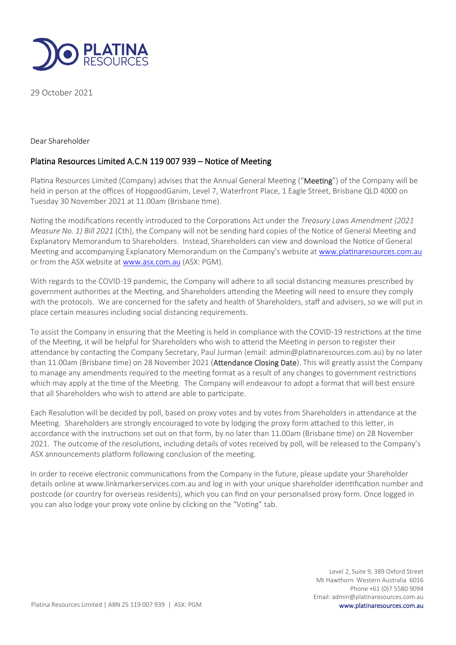

29 October 2021

Dear Shareholder

## Platina Resources Limited A.C.N 119 007 939 – Notice of Meeting

Platina Resources Limited (Company) advises that the Annual General Meeting ("Meeting") of the Company will be held in person at the offices of HopgoodGanim, Level 7, Waterfront Place, 1 Eagle Street, Brisbane QLD 4000 on Tuesday 30 November 2021 at 11.00am (Brisbane time).

Noting the modifications recently introduced to the Corporations Act under the *Treasury Laws Amendment (2021 Measure No. 1) Bill 2021* (Cth), the Company will not be sending hard copies of the Notice of General Meeting and Explanatory Memorandum to Shareholders. Instead, Shareholders can view and download the Notice of General Meeting and accompanying Explanatory Memorandum on the Company's website at [www.platinaresources.com.au](http://www.tempestminerals.com/) or from the ASX website a[t www.asx.com.au](http://www.asx.com.au/) (ASX: PGM).

With regards to the COVID-19 pandemic, the Company will adhere to all social distancing measures prescribed by government authorities at the Meeting, and Shareholders attending the Meeting will need to ensure they comply with the protocols. We are concerned for the safety and health of Shareholders, staff and advisers, so we will put in place certain measures including social distancing requirements.

To assist the Company in ensuring that the Meeting is held in compliance with the COVID-19 restrictions at the time of the Meeting, it will be helpful for Shareholders who wish to attend the Meeting in person to register their attendance by contacting the Company Secretary, Paul Jurman (email: admin@platinaresources.com.au) by no later than 11.00am (Brisbane time) on 28 November 2021 (**Attendance Closing Date**). This will greatly assist the Company to manage any amendments required to the meeting format as a result of any changes to government restrictions which may apply at the time of the Meeting. The Company will endeavour to adopt a format that will best ensure that all Shareholders who wish to attend are able to participate.

Each Resolution will be decided by poll, based on proxy votes and by votes from Shareholders in attendance at the Meeting. Shareholders are strongly encouraged to vote by lodging the proxy form attached to this letter, in accordance with the instructions set out on that form, by no later than 11.00am (Brisbane time) on 28 November 2021. The outcome of the resolutions, including details of votes received by poll, will be released to the Company's ASX announcements platform following conclusion of the meeting.

In order to receive electronic communications from the Company in the future, please update your Shareholder details online at www.linkmarkerservices.com.au and log in with your unique shareholder identification number and postcode (or country for overseas residents), which you can find on your personalised proxy form. Once logged in you can also lodge your proxy vote online by clicking on the "Voting" tab.

> Level 2, Suite 9, 389 Oxford Street Mt Hawthorn Western Australia 6016 Phone +61 (0)7 5580 9094 Email: admin@platinaresources.com.au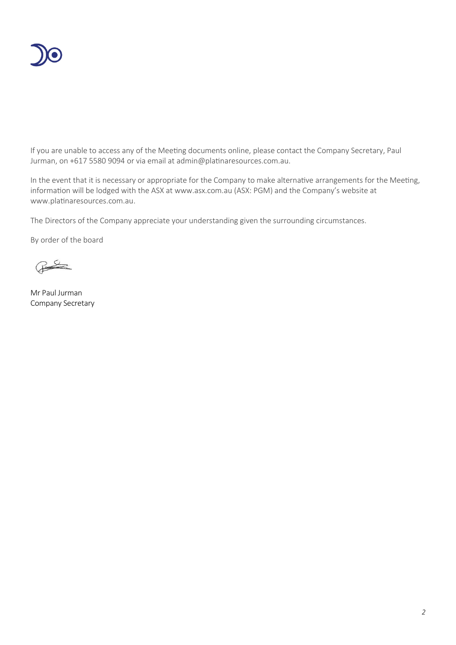

If you are unable to access any of the Meeting documents online, please contact the Company Secretary, Paul Jurman, on +617 5580 9094 or via email at admin@platinaresources.com.au.

In the event that it is necessary or appropriate for the Company to make alternative arrangements for the Meeting, information will be lodged with the ASX at [www.asx.com.au](http://www.asx.com.au/) (ASX: PGM) and the Company's website at [www.platinaresources.com.au.](http://www.platinaresources.com.au/)

The Directors of the Company appreciate your understanding given the surrounding circumstances.

By order of the board

 $\frac{1}{\sqrt{2}}$ 

Mr Paul Jurman Company Secretary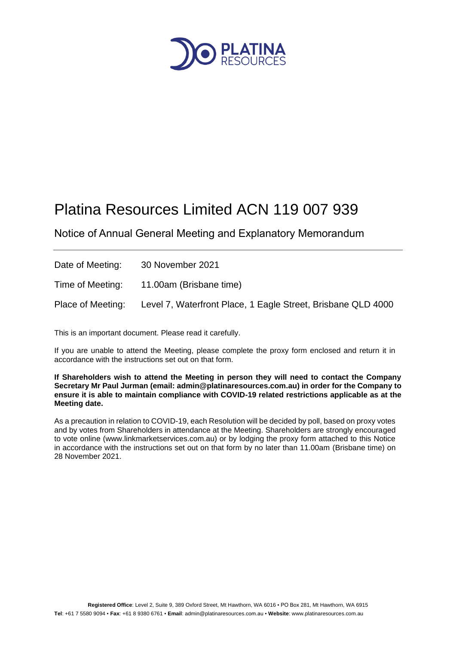

# Platina Resources Limited ACN 119 007 939

Notice of Annual General Meeting and Explanatory Memorandum

| Date of Meeting:  | 30 November 2021                                             |
|-------------------|--------------------------------------------------------------|
| Time of Meeting:  | 11.00am (Brisbane time)                                      |
| Place of Meeting: | Level 7, Waterfront Place, 1 Eagle Street, Brisbane QLD 4000 |

This is an important document. Please read it carefully.

If you are unable to attend the Meeting, please complete the proxy form enclosed and return it in accordance with the instructions set out on that form.

**If Shareholders wish to attend the Meeting in person they will need to contact the Company Secretary Mr Paul Jurman (email: admin@platinaresources.com.au) in order for the Company to ensure it is able to maintain compliance with COVID-19 related restrictions applicable as at the Meeting date.** 

As a precaution in relation to COVID-19, each Resolution will be decided by poll, based on proxy votes and by votes from Shareholders in attendance at the Meeting. Shareholders are strongly encouraged to vote online (www.linkmarketservices.com.au) or by lodging the proxy form attached to this Notice in accordance with the instructions set out on that form by no later than 11.00am (Brisbane time) on 28 November 2021.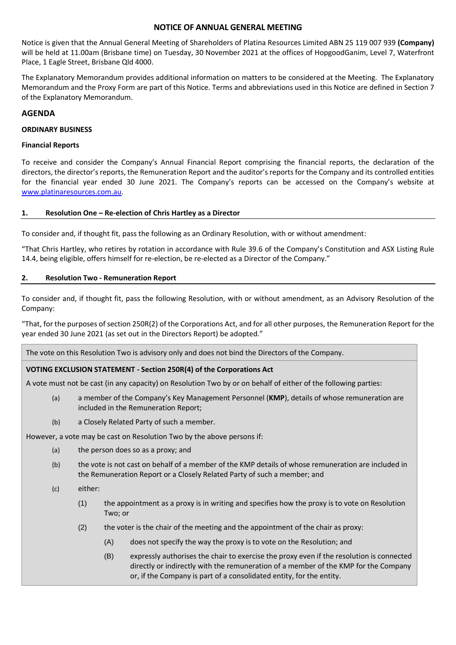#### **NOTICE OF ANNUAL GENERAL MEETING**

Notice is given that the Annual General Meeting of Shareholders of Platina Resources Limited ABN 25 119 007 939 **(Company)** will be held at 11.00am (Brisbane time) on Tuesday, 30 November 2021 at the offices of HopgoodGanim, Level 7, Waterfront Place, 1 Eagle Street, Brisbane Qld 4000.

The Explanatory Memorandum provides additional information on matters to be considered at the Meeting. The Explanatory Memorandum and the Proxy Form are part of this Notice. Terms and abbreviations used in this Notice are defined in Sectio[n 7](#page-17-0) of the Explanatory Memorandum.

#### **AGENDA**

#### **ORDINARY BUSINESS**

#### **Financial Reports**

To receive and consider the Company's Annual Financial Report comprising the financial reports, the declaration of the directors, the director's reports, the Remuneration Report and the auditor's reports for the Company and its controlled entities for the financial year ended 30 June 2021. The Company's reports can be accessed on the Company's website at [www.platinaresources.com.au.](http://www.platinaresources.com.au/)

#### **1. Resolution One – Re-election of Chris Hartley as a Director**

To consider and, if thought fit, pass the following as an Ordinary Resolution, with or without amendment:

"That Chris Hartley, who retires by rotation in accordance with Rule 39.6 of the Company's Constitution and ASX Listing Rule 14.4, being eligible, offers himself for re-election, be re-elected as a Director of the Company."

#### **2. Resolution Two - Remuneration Report**

To consider and, if thought fit, pass the following Resolution, with or without amendment, as an Advisory Resolution of the Company:

"That, for the purposes of section 250R(2) of the Corporations Act, and for all other purposes, the Remuneration Report for the year ended 30 June 2021 (as set out in the Directors Report) be adopted."

The vote on this Resolution Two is advisory only and does not bind the Directors of the Company.

## **VOTING EXCLUSION STATEMENT - Section 250R(4) of the Corporations Act**

A vote must not be cast (in any capacity) on Resolution Two by or on behalf of either of the following parties:

- (a) a member of the Company's Key Management Personnel (**KMP**), details of whose remuneration are included in the Remuneration Report;
- (b) a Closely Related Party of such a member.

However, a vote may be cast on Resolution Two by the above persons if:

- (a) the person does so as a proxy; and
- (b) the vote is not cast on behalf of a member of the KMP details of whose remuneration are included in the Remuneration Report or a Closely Related Party of such a member; and
- (c) either:
	- (1) the appointment as a proxy is in writing and specifies how the proxy is to vote on Resolution Two; or
	- (2) the voter is the chair of the meeting and the appointment of the chair as proxy:
		- (A) does not specify the way the proxy is to vote on the Resolution; and
		- (B) expressly authorises the chair to exercise the proxy even if the resolution is connected directly or indirectly with the remuneration of a member of the KMP for the Company or, if the Company is part of a consolidated entity, for the entity.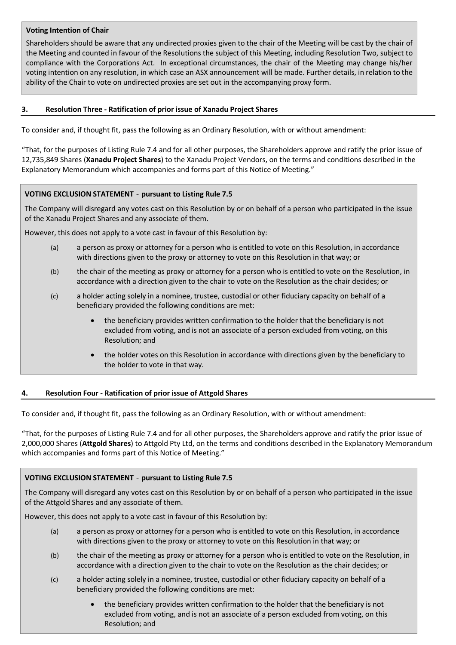#### **Voting Intention of Chair**

Shareholders should be aware that any undirected proxies given to the chair of the Meeting will be cast by the chair of the Meeting and counted in favour of the Resolutions the subject of this Meeting, including Resolution Two, subject to compliance with the Corporations Act. In exceptional circumstances, the chair of the Meeting may change his/her voting intention on any resolution, in which case an ASX announcement will be made. Further details, in relation to the ability of the Chair to vote on undirected proxies are set out in the accompanying proxy form.

#### **3. Resolution Three - Ratification of prior issue of Xanadu Project Shares**

To consider and, if thought fit, pass the following as an Ordinary Resolution, with or without amendment:

"That, for the purposes of Listing Rule 7.4 and for all other purposes, the Shareholders approve and ratify the prior issue of 12,735,849 Shares (**Xanadu Project Shares**) to the Xanadu Project Vendors, on the terms and conditions described in the Explanatory Memorandum which accompanies and forms part of this Notice of Meeting."

#### **VOTING EXCLUSION STATEMENT** - **pursuant to Listing Rule 7.5**

The Company will disregard any votes cast on this Resolution by or on behalf of a person who participated in the issue of the Xanadu Project Shares and any associate of them.

However, this does not apply to a vote cast in favour of this Resolution by:

- (a) a person as proxy or attorney for a person who is entitled to vote on this Resolution, in accordance with directions given to the proxy or attorney to vote on this Resolution in that way; or
- (b) the chair of the meeting as proxy or attorney for a person who is entitled to vote on the Resolution, in accordance with a direction given to the chair to vote on the Resolution as the chair decides; or
- (c) a holder acting solely in a nominee, trustee, custodial or other fiduciary capacity on behalf of a beneficiary provided the following conditions are met:
	- the beneficiary provides written confirmation to the holder that the beneficiary is not excluded from voting, and is not an associate of a person excluded from voting, on this Resolution; and
	- the holder votes on this Resolution in accordance with directions given by the beneficiary to the holder to vote in that way.

## **4. Resolution Four - Ratification of prior issue of Attgold Shares**

To consider and, if thought fit, pass the following as an Ordinary Resolution, with or without amendment:

"That, for the purposes of Listing Rule 7.4 and for all other purposes, the Shareholders approve and ratify the prior issue of 2,000,000 Shares (**Attgold Shares**) to Attgold Pty Ltd, on the terms and conditions described in the Explanatory Memorandum which accompanies and forms part of this Notice of Meeting."

## **VOTING EXCLUSION STATEMENT** - **pursuant to Listing Rule 7.5**

The Company will disregard any votes cast on this Resolution by or on behalf of a person who participated in the issue of the Attgold Shares and any associate of them.

However, this does not apply to a vote cast in favour of this Resolution by:

- (a) a person as proxy or attorney for a person who is entitled to vote on this Resolution, in accordance with directions given to the proxy or attorney to vote on this Resolution in that way; or
- (b) the chair of the meeting as proxy or attorney for a person who is entitled to vote on the Resolution, in accordance with a direction given to the chair to vote on the Resolution as the chair decides; or
- (c) a holder acting solely in a nominee, trustee, custodial or other fiduciary capacity on behalf of a beneficiary provided the following conditions are met:
	- the beneficiary provides written confirmation to the holder that the beneficiary is not excluded from voting, and is not an associate of a person excluded from voting, on this Resolution; and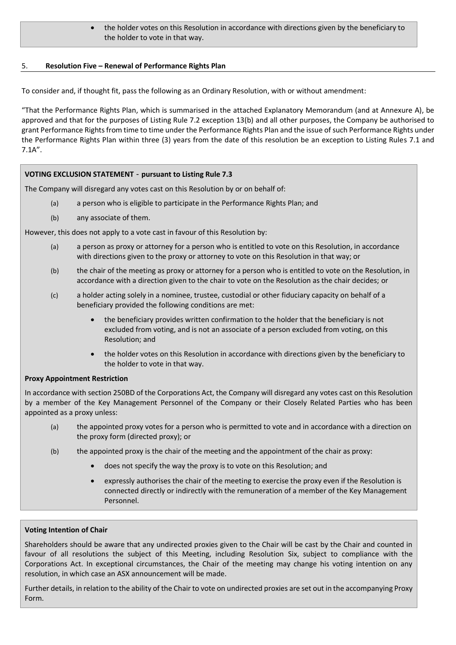#### • the holder votes on this Resolution in accordance with directions given by the beneficiary to the holder to vote in that way.

#### 5. **Resolution Five – Renewal of Performance Rights Plan**

To consider and, if thought fit, pass the following as an Ordinary Resolution, with or without amendment:

"That the Performance Rights Plan, which is summarised in the attached Explanatory Memorandum (and at Annexure A), be approved and that for the purposes of Listing Rule 7.2 exception 13(b) and all other purposes, the Company be authorised to grant Performance Rights from time to time under the Performance Rights Plan and the issue of such Performance Rights under the Performance Rights Plan within three (3) years from the date of this resolution be an exception to Listing Rules 7.1 and 7.1A".

#### **VOTING EXCLUSION STATEMENT** - **pursuant to Listing Rule 7.3**

The Company will disregard any votes cast on this Resolution by or on behalf of:

- (a) a person who is eligible to participate in the Performance Rights Plan; and
- (b) any associate of them.

However, this does not apply to a vote cast in favour of this Resolution by:

- (a) a person as proxy or attorney for a person who is entitled to vote on this Resolution, in accordance with directions given to the proxy or attorney to vote on this Resolution in that way; or
- (b) the chair of the meeting as proxy or attorney for a person who is entitled to vote on the Resolution, in accordance with a direction given to the chair to vote on the Resolution as the chair decides; or
- (c) a holder acting solely in a nominee, trustee, custodial or other fiduciary capacity on behalf of a beneficiary provided the following conditions are met:
	- the beneficiary provides written confirmation to the holder that the beneficiary is not excluded from voting, and is not an associate of a person excluded from voting, on this Resolution; and
	- the holder votes on this Resolution in accordance with directions given by the beneficiary to the holder to vote in that way.

## **Proxy Appointment Restriction**

In accordance with section 250BD of the Corporations Act, the Company will disregard any votes cast on this Resolution by a member of the Key Management Personnel of the Company or their Closely Related Parties who has been appointed as a proxy unless:

- (a) the appointed proxy votes for a person who is permitted to vote and in accordance with a direction on the proxy form (directed proxy); or
- (b) the appointed proxy is the chair of the meeting and the appointment of the chair as proxy:
	- does not specify the way the proxy is to vote on this Resolution; and
	- expressly authorises the chair of the meeting to exercise the proxy even if the Resolution is connected directly or indirectly with the remuneration of a member of the Key Management Personnel.

#### **Voting Intention of Chair**

Shareholders should be aware that any undirected proxies given to the Chair will be cast by the Chair and counted in favour of all resolutions the subject of this Meeting, including Resolution Six, subject to compliance with the Corporations Act. In exceptional circumstances, the Chair of the meeting may change his voting intention on any resolution, in which case an ASX announcement will be made.

Further details, in relation to the ability of the Chair to vote on undirected proxies are set out in the accompanying Proxy Form.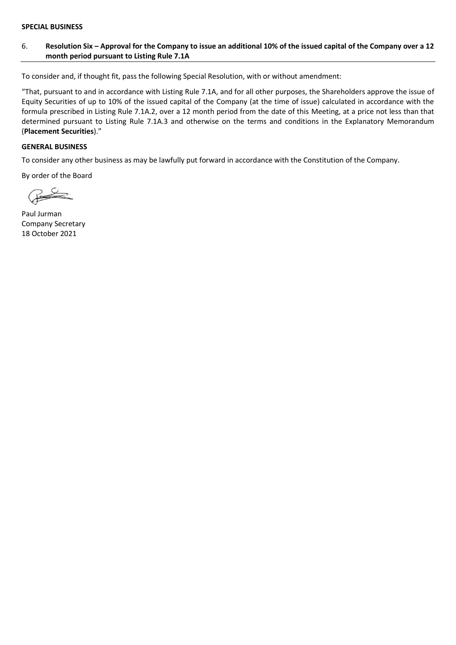#### **SPECIAL BUSINESS**

#### 6. **Resolution Six – Approval for the Company to issue an additional 10% of the issued capital of the Company over a 12 month period pursuant to Listing Rule 7.1A**

To consider and, if thought fit, pass the following Special Resolution, with or without amendment:

"That, pursuant to and in accordance with Listing Rule 7.1A, and for all other purposes, the Shareholders approve the issue of Equity Securities of up to 10% of the issued capital of the Company (at the time of issue) calculated in accordance with the formula prescribed in Listing Rule 7.1A.2, over a 12 month period from the date of this Meeting, at a price not less than that determined pursuant to Listing Rule 7.1A.3 and otherwise on the terms and conditions in the Explanatory Memorandum (**Placement Securities**)."

#### **GENERAL BUSINESS**

To consider any other business as may be lawfully put forward in accordance with the Constitution of the Company.

By order of the Board

Paul Jurman Company Secretary 18 October 2021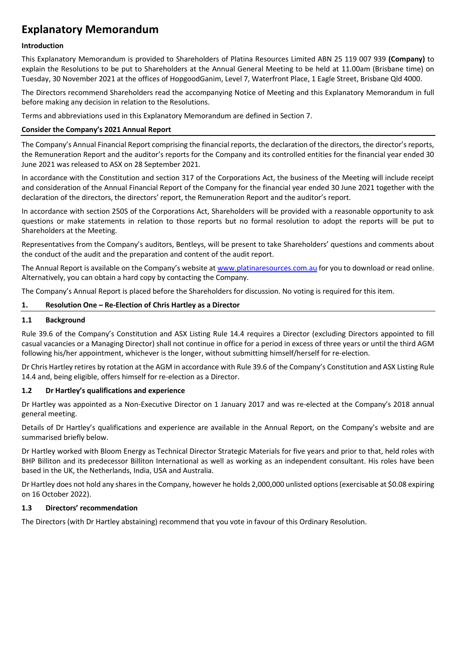## **Explanatory Memorandum**

#### **Introduction**

This Explanatory Memorandum is provided to Shareholders of Platina Resources Limited ABN 25 119 007 939 **(Company)** to explain the Resolutions to be put to Shareholders at the Annual General Meeting to be held at 11.00am (Brisbane time) on Tuesday, 30 November 2021 at the offices of HopgoodGanim, Level 7, Waterfront Place, 1 Eagle Street, Brisbane Qld 4000.

The Directors recommend Shareholders read the accompanying Notice of Meeting and this Explanatory Memorandum in full before making any decision in relation to the Resolutions.

Terms and abbreviations used in this Explanatory Memorandum are defined in Section [7.](#page-17-0)

#### **Consider the Company's 2021 Annual Report**

The Company's Annual Financial Report comprising the financial reports, the declaration of the directors, the director's reports, the Remuneration Report and the auditor's reports for the Company and its controlled entities for the financial year ended 30 June 2021 was released to ASX on 28 September 2021.

In accordance with the Constitution and section 317 of the Corporations Act, the business of the Meeting will include receipt and consideration of the Annual Financial Report of the Company for the financial year ended 30 June 2021 together with the declaration of the directors, the directors' report, the Remuneration Report and the auditor's report.

In accordance with section 250S of the Corporations Act, Shareholders will be provided with a reasonable opportunity to ask questions or make statements in relation to those reports but no formal resolution to adopt the reports will be put to Shareholders at the Meeting.

Representatives from the Company's auditors, Bentleys, will be present to take Shareholders' questions and comments about the conduct of the audit and the preparation and content of the audit report.

The Annual Report is available on the Company's website at [www.platinaresources.com.au](http://www.platinaresources.com.au/) for you to download or read online. Alternatively, you can obtain a hard copy by contacting the Company.

The Company's Annual Report is placed before the Shareholders for discussion. No voting is required for this item.

#### **1. Resolution One – Re-Election of Chris Hartley as a Director**

#### **1.1 Background**

Rule 39.6 of the Company's Constitution and ASX Listing Rule 14.4 requires a Director (excluding Directors appointed to fill casual vacancies or a Managing Director) shall not continue in office for a period in excess of three years or until the third AGM following his/her appointment, whichever is the longer, without submitting himself/herself for re-election.

Dr Chris Hartley retires by rotation at the AGM in accordance with Rule 39.6 of the Company's Constitution and ASX Listing Rule 14.4 and, being eligible, offers himself for re-election as a Director.

#### **1.2 Dr Hartley's qualifications and experience**

Dr Hartley was appointed as a Non-Executive Director on 1 January 2017 and was re-elected at the Company's 2018 annual general meeting.

Details of Dr Hartley's qualifications and experience are available in the Annual Report, on the Company's website and are summarised briefly below.

Dr Hartley worked with Bloom Energy as Technical Director Strategic Materials for five years and prior to that, held roles with BHP Billiton and its predecessor Billiton International as well as working as an independent consultant. His roles have been based in the UK, the Netherlands, India, USA and Australia.

Dr Hartley does not hold any shares in the Company, however he holds 2,000,000 unlisted options (exercisable at \$0.08 expiring on 16 October 2022).

#### **1.3 Directors' recommendation**

The Directors (with Dr Hartley abstaining) recommend that you vote in favour of this Ordinary Resolution.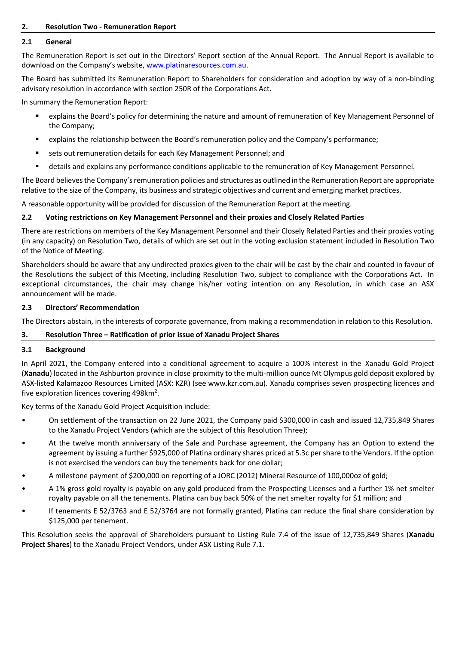#### **2. Resolution Two - Remuneration Report**

#### **2.1 General**

The Remuneration Report is set out in the Directors' Report section of the Annual Report. The Annual Report is available to download on the Company's website, [www.platinaresources.com.au.](http://www.platinaresources.com.au/)

The Board has submitted its Remuneration Report to Shareholders for consideration and adoption by way of a non-binding advisory resolution in accordance with section 250R of the Corporations Act.

In summary the Remuneration Report:

- explains the Board's policy for determining the nature and amount of remuneration of Key Management Personnel of the Company;
- explains the relationship between the Board's remuneration policy and the Company's performance;
- sets out remuneration details for each Key Management Personnel; and
- details and explains any performance conditions applicable to the remuneration of Key Management Personnel.

The Board believes the Company's remuneration policies and structures as outlined in the Remuneration Report are appropriate relative to the size of the Company, its business and strategic objectives and current and emerging market practices.

A reasonable opportunity will be provided for discussion of the Remuneration Report at the meeting.

#### **2.2 Voting restrictions on Key Management Personnel and their proxies and Closely Related Parties**

There are restrictions on members of the Key Management Personnel and their Closely Related Parties and their proxies voting (in any capacity) on Resolution Two, details of which are set out in the voting exclusion statement included in Resolution Two of the Notice of Meeting.

Shareholders should be aware that any undirected proxies given to the chair will be cast by the chair and counted in favour of the Resolutions the subject of this Meeting, including Resolution Two, subject to compliance with the Corporations Act. In exceptional circumstances, the chair may change his/her voting intention on any Resolution, in which case an ASX announcement will be made.

#### **2.3 Directors' Recommendation**

The Directors abstain, in the interests of corporate governance, from making a recommendation in relation to this Resolution.

#### **3. Resolution Three – Ratification of prior issue of Xanadu Project Shares**

#### <span id="page-8-0"></span>**3.1 Background**

In April 2021, the Company entered into a conditional agreement to acquire a 100% interest in the Xanadu Gold Project (**Xanadu**) located in the Ashburton province in close proximity to the multi-million ounce Mt Olympus gold deposit explored by ASX-listed Kalamazoo Resources Limited (ASX: KZR) (see www.kzr.com.au). Xanadu comprises seven prospecting licences and five exploration licences covering 498 $km^2$ .

Key terms of the Xanadu Gold Project Acquisition include:

- On settlement of the transaction on 22 June 2021, the Company paid \$300,000 in cash and issued 12,735,849 Shares to the Xanadu Project Vendors (which are the subject of this Resolution Three);
- At the twelve month anniversary of the Sale and Purchase agreement, the Company has an Option to extend the agreement by issuing a further \$925,000 of Platina ordinary shares priced at 5.3c per share to the Vendors. If the option is not exercised the vendors can buy the tenements back for one dollar;
- A milestone payment of \$200,000 on reporting of a JORC (2012) Mineral Resource of 100,000oz of gold;
- A 1% gross gold royalty is payable on any gold produced from the Prospecting Licenses and a further 1% net smelter royalty payable on all the tenements. Platina can buy back 50% of the net smelter royalty for \$1 million; and
- If tenements E 52/3763 and E 52/3764 are not formally granted, Platina can reduce the final share consideration by \$125,000 per tenement.

This Resolution seeks the approval of Shareholders pursuant to Listing Rule 7.4 of the issue of 12,735,849 Shares (**Xanadu Project Shares**) to the Xanadu Project Vendors, under ASX Listing Rule 7.1.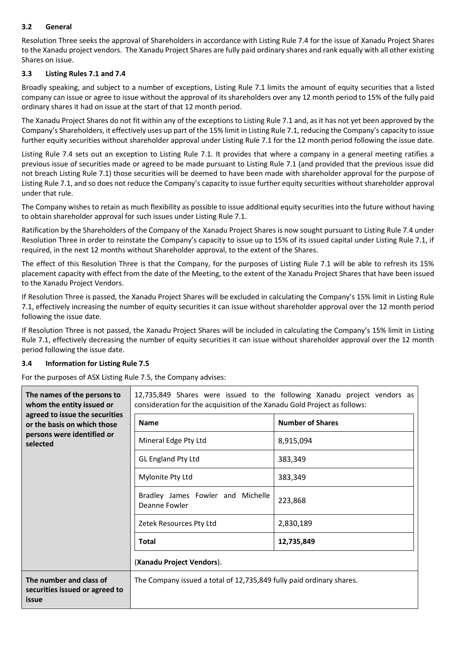## **3.2 General**

Resolution Three seeks the approval of Shareholders in accordance with Listing Rule 7.4 for the issue of Xanadu Project Shares to the Xanadu project vendors. The Xanadu Project Shares are fully paid ordinary shares and rank equally with all other existing Shares on issue.

## <span id="page-9-0"></span>**3.3 Listing Rules 7.1 and 7.4**

Broadly speaking, and subject to a number of exceptions, Listing Rule 7.1 limits the amount of equity securities that a listed company can issue or agree to issue without the approval of its shareholders over any 12 month period to 15% of the fully paid ordinary shares it had on issue at the start of that 12 month period.

The Xanadu Project Shares do not fit within any of the exceptions to Listing Rule 7.1 and, as it has not yet been approved by the Company's Shareholders, it effectively uses up part of the 15% limit in Listing Rule 7.1, reducing the Company's capacity to issue further equity securities without shareholder approval under Listing Rule 7.1 for the 12 month period following the issue date.

Listing Rule 7.4 sets out an exception to Listing Rule 7.1. It provides that where a company in a general meeting ratifies a previous issue of securities made or agreed to be made pursuant to Listing Rule 7.1 (and provided that the previous issue did not breach Listing Rule 7.1) those securities will be deemed to have been made with shareholder approval for the purpose of Listing Rule 7.1, and so does not reduce the Company's capacity to issue further equity securities without shareholder approval under that rule.

The Company wishes to retain as much flexibility as possible to issue additional equity securities into the future without having to obtain shareholder approval for such issues under Listing Rule 7.1.

Ratification by the Shareholders of the Company of the Xanadu Project Shares is now sought pursuant to Listing Rule 7.4 under Resolution Three in order to reinstate the Company's capacity to issue up to 15% of its issued capital under Listing Rule 7.1, if required, in the next 12 months without Shareholder approval, to the extent of the Shares.

The effect of this Resolution Three is that the Company, for the purposes of Listing Rule 7.1 will be able to refresh its 15% placement capacity with effect from the date of the Meeting, to the extent of the Xanadu Project Shares that have been issued to the Xanadu Project Vendors.

If Resolution Three is passed, the Xanadu Project Shares will be excluded in calculating the Company's 15% limit in Listing Rule 7.1, effectively increasing the number of equity securities it can issue without shareholder approval over the 12 month period following the issue date.

If Resolution Three is not passed, the Xanadu Project Shares will be included in calculating the Company's 15% limit in Listing Rule 7.1, effectively decreasing the number of equity securities it can issue without shareholder approval over the 12 month period following the issue date.

## <span id="page-9-1"></span>**3.4 Information for Listing Rule 7.5**

For the purposes of ASX Listing Rule 7.5, the Company advises:

| The names of the persons to<br>whom the entity issued or           | 12,735,849 Shares were issued to the following Xanadu project vendors as<br>consideration for the acquisition of the Xanadu Gold Project as follows: |                         |  |
|--------------------------------------------------------------------|------------------------------------------------------------------------------------------------------------------------------------------------------|-------------------------|--|
| agreed to issue the securities<br>or the basis on which those      | <b>Name</b>                                                                                                                                          | <b>Number of Shares</b> |  |
| persons were identified or<br>selected                             | Mineral Edge Pty Ltd                                                                                                                                 | 8,915,094               |  |
|                                                                    | <b>GL England Pty Ltd</b>                                                                                                                            | 383,349                 |  |
|                                                                    | Mylonite Pty Ltd                                                                                                                                     | 383,349                 |  |
|                                                                    | Bradley James Fowler and Michelle<br>Deanne Fowler                                                                                                   | 223,868                 |  |
|                                                                    | Zetek Resources Pty Ltd                                                                                                                              | 2,830,189               |  |
|                                                                    | Total                                                                                                                                                | 12,735,849              |  |
|                                                                    | (Xanadu Project Vendors).                                                                                                                            |                         |  |
| The number and class of<br>securities issued or agreed to<br>issue | The Company issued a total of 12,735,849 fully paid ordinary shares.                                                                                 |                         |  |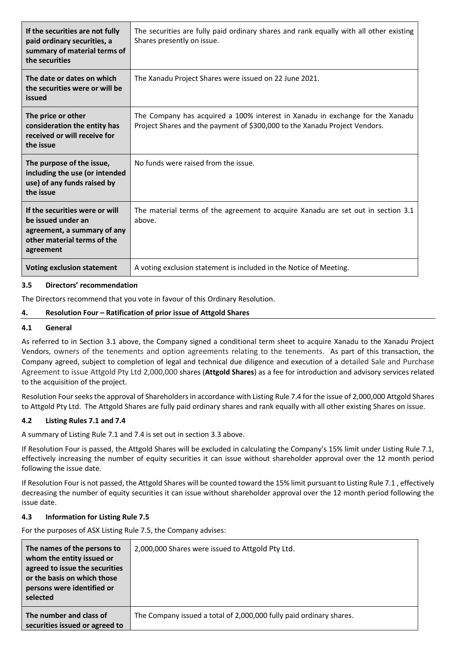| If the securities are not fully<br>paid ordinary securities, a<br>summary of material terms of<br>the securities                | The securities are fully paid ordinary shares and rank equally with all other existing<br>Shares presently on issue.                                        |
|---------------------------------------------------------------------------------------------------------------------------------|-------------------------------------------------------------------------------------------------------------------------------------------------------------|
| The date or dates on which<br>the securities were or will be<br>issued                                                          | The Xanadu Project Shares were issued on 22 June 2021.                                                                                                      |
| The price or other<br>consideration the entity has<br>received or will receive for<br>the issue                                 | The Company has acquired a 100% interest in Xanadu in exchange for the Xanadu<br>Project Shares and the payment of \$300,000 to the Xanadu Project Vendors. |
| The purpose of the issue,<br>including the use (or intended<br>use) of any funds raised by<br>the issue                         | No funds were raised from the issue.                                                                                                                        |
| If the securities were or will<br>be issued under an<br>agreement, a summary of any<br>other material terms of the<br>agreement | The material terms of the agreement to acquire Xanadu are set out in section 3.1<br>above.                                                                  |
| <b>Voting exclusion statement</b>                                                                                               | A voting exclusion statement is included in the Notice of Meeting.                                                                                          |

#### **3.5 Directors' recommendation**

The Directors recommend that you vote in favour of this Ordinary Resolution.

#### **4. Resolution Four – Ratification of prior issue of Attgold Shares**

#### **4.1 General**

As referred to in Section [3.1](#page-8-0) above, the Company signed a conditional term sheet to acquire Xanadu to the Xanadu Project Vendors, owners of the tenements and option agreements relating to the tenements. As part of this transaction, the Company agreed, subject to completion of legal and technical due diligence and execution of a detailed Sale and Purchase Agreement to issue Attgold Pty Ltd 2,000,000 shares (**Attgold Shares**) as a fee for introduction and advisory services related to the acquisition of the project.

Resolution Four seeks the approval of Shareholders in accordance with Listing Rule 7.4 for the issue of 2,000,000 Attgold Shares to Attgold Pty Ltd. The Attgold Shares are fully paid ordinary shares and rank equally with all other existing Shares on issue.

#### **4.2 Listing Rules 7.1 and 7.4**

A summary of Listing Rule 7.1 and 7.4 is set out in section [3.3](#page-9-0) above.

If Resolution Four is passed, the Attgold Shares will be excluded in calculating the Company's 15% limit under Listing Rule 7.1, effectively increasing the number of equity securities it can issue without shareholder approval over the 12 month period following the issue date.

If Resolution Four is not passed, the Attgold Shares will be counted toward the 15% limit pursuant to Listing Rule 7.1 , effectively decreasing the number of equity securities it can issue without shareholder approval over the 12 month period following the issue date.

#### **4.3 Information for Listing Rule 7.5**

For the purposes of ASX Listing Rule 7.5, the Company advises:

| The names of the persons to<br>whom the entity issued or<br>agreed to issue the securities<br>or the basis on which those<br>persons were identified or<br>selected | 2,000,000 Shares were issued to Attgold Pty Ltd.                    |
|---------------------------------------------------------------------------------------------------------------------------------------------------------------------|---------------------------------------------------------------------|
| The number and class of<br>securities issued or agreed to                                                                                                           | The Company issued a total of 2,000,000 fully paid ordinary shares. |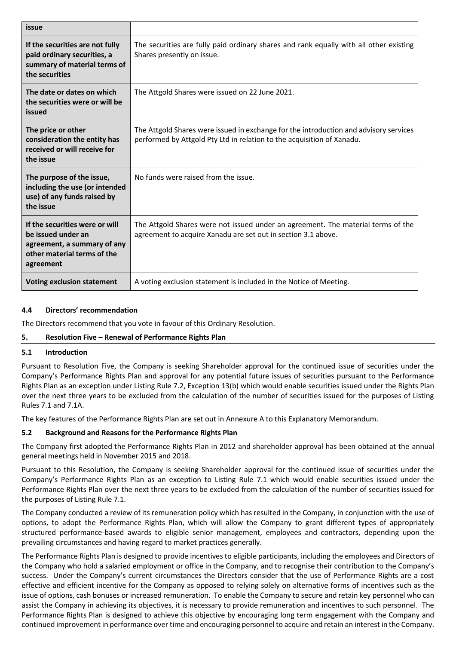| issue                                                                                                                           |                                                                                                                                                                 |
|---------------------------------------------------------------------------------------------------------------------------------|-----------------------------------------------------------------------------------------------------------------------------------------------------------------|
| If the securities are not fully<br>paid ordinary securities, a<br>summary of material terms of<br>the securities                | The securities are fully paid ordinary shares and rank equally with all other existing<br>Shares presently on issue.                                            |
| The date or dates on which<br>the securities were or will be<br>issued                                                          | The Attgold Shares were issued on 22 June 2021.                                                                                                                 |
| The price or other<br>consideration the entity has<br>received or will receive for<br>the issue                                 | The Attgold Shares were issued in exchange for the introduction and advisory services<br>performed by Attgold Pty Ltd in relation to the acquisition of Xanadu. |
| The purpose of the issue,<br>including the use (or intended<br>use) of any funds raised by<br>the issue                         | No funds were raised from the issue.                                                                                                                            |
| If the securities were or will<br>be issued under an<br>agreement, a summary of any<br>other material terms of the<br>agreement | The Attgold Shares were not issued under an agreement. The material terms of the<br>agreement to acquire Xanadu are set out in section 3.1 above.               |
| <b>Voting exclusion statement</b>                                                                                               | A voting exclusion statement is included in the Notice of Meeting.                                                                                              |

## **4.4 Directors' recommendation**

The Directors recommend that you vote in favour of this Ordinary Resolution.

## **5. Resolution Five – Renewal of Performance Rights Plan**

#### **5.1 Introduction**

Pursuant to Resolution Five, the Company is seeking Shareholder approval for the continued issue of securities under the Company's Performance Rights Plan and approval for any potential future issues of securities pursuant to the Performance Rights Plan as an exception under Listing Rule 7.2, Exception 13(b) which would enable securities issued under the Rights Plan over the next three years to be excluded from the calculation of the number of securities issued for the purposes of Listing Rules 7.1 and 7.1A.

The key features of the Performance Rights Plan are set out in Annexure A to this Explanatory Memorandum.

## **5.2 Background and Reasons for the Performance Rights Plan**

The Company first adopted the Performance Rights Plan in 2012 and shareholder approval has been obtained at the annual general meetings held in November 2015 and 2018.

Pursuant to this Resolution, the Company is seeking Shareholder approval for the continued issue of securities under the Company's Performance Rights Plan as an exception to Listing Rule 7.1 which would enable securities issued under the Performance Rights Plan over the next three years to be excluded from the calculation of the number of securities issued for the purposes of Listing Rule 7.1.

The Company conducted a review of its remuneration policy which has resulted in the Company, in conjunction with the use of options, to adopt the Performance Rights Plan, which will allow the Company to grant different types of appropriately structured performance-based awards to eligible senior management, employees and contractors, depending upon the prevailing circumstances and having regard to market practices generally.

The Performance Rights Plan is designed to provide incentives to eligible participants, including the employees and Directors of the Company who hold a salaried employment or office in the Company, and to recognise their contribution to the Company's success. Under the Company's current circumstances the Directors consider that the use of Performance Rights are a cost effective and efficient incentive for the Company as opposed to relying solely on alternative forms of incentives such as the issue of options, cash bonuses or increased remuneration. To enable the Company to secure and retain key personnel who can assist the Company in achieving its objectives, it is necessary to provide remuneration and incentives to such personnel. The Performance Rights Plan is designed to achieve this objective by encouraging long term engagement with the Company and continued improvement in performance over time and encouraging personnel to acquire and retain an interest in the Company.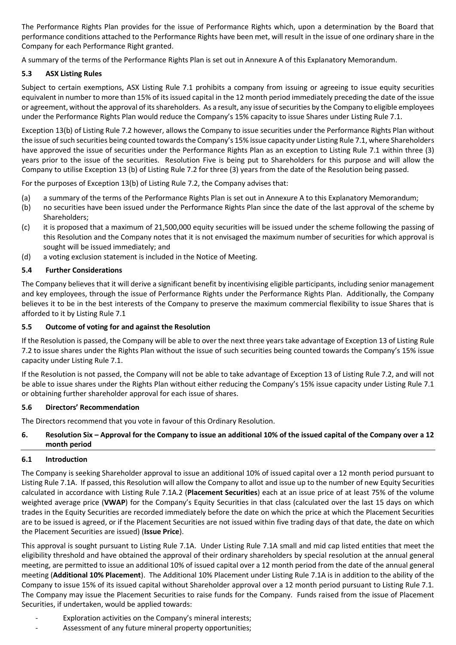The Performance Rights Plan provides for the issue of Performance Rights which, upon a determination by the Board that performance conditions attached to the Performance Rights have been met, will result in the issue of one ordinary share in the Company for each Performance Right granted.

A summary of the terms of the Performance Rights Plan is set out in Annexure A of this Explanatory Memorandum.

## **5.3 ASX Listing Rules**

Subject to certain exemptions, ASX Listing Rule 7.1 prohibits a company from issuing or agreeing to issue equity securities equivalent in number to more than 15% of its issued capital in the 12 month period immediately preceding the date of the issue or agreement, without the approval of its shareholders. As a result, any issue of securities by the Company to eligible employees under the Performance Rights Plan would reduce the Company's 15% capacity to issue Shares under Listing Rule 7.1.

Exception 13(b) of Listing Rule 7.2 however, allows the Company to issue securities under the Performance Rights Plan without the issue of such securities being counted towards the Company's 15% issue capacity under Listing Rule 7.1, where Shareholders have approved the issue of securities under the Performance Rights Plan as an exception to Listing Rule 7.1 within three (3) years prior to the issue of the securities. Resolution Five is being put to Shareholders for this purpose and will allow the Company to utilise Exception 13 (b) of Listing Rule 7.2 for three (3) years from the date of the Resolution being passed.

For the purposes of Exception 13(b) of Listing Rule 7.2, the Company advises that:

- (a) a summary of the terms of the Performance Rights Plan is set out in Annexure A to this Explanatory Memorandum;
- (b) no securities have been issued under the Performance Rights Plan since the date of the last approval of the scheme by Shareholders;
- (c) it is proposed that a maximum of 21,500,000 equity securities will be issued under the scheme following the passing of this Resolution and the Company notes that it is not envisaged the maximum number of securities for which approval is sought will be issued immediately; and
- (d) a voting exclusion statement is included in the Notice of Meeting.

#### **5.4 Further Considerations**

The Company believes that it will derive a significant benefit by incentivising eligible participants, including senior management and key employees, through the issue of Performance Rights under the Performance Rights Plan. Additionally, the Company believes it to be in the best interests of the Company to preserve the maximum commercial flexibility to issue Shares that is afforded to it by Listing Rule 7.1

#### **5.5 Outcome of voting for and against the Resolution**

If the Resolution is passed, the Company will be able to over the next three years take advantage of Exception 13 of Listing Rule 7.2 to issue shares under the Rights Plan without the issue of such securities being counted towards the Company's 15% issue capacity under Listing Rule 7.1.

If the Resolution is not passed, the Company will not be able to take advantage of Exception 13 of Listing Rule 7.2, and will not be able to issue shares under the Rights Plan without either reducing the Company's 15% issue capacity under Listing Rule 7.1 or obtaining further shareholder approval for each issue of shares.

#### **5.6 Directors' Recommendation**

The Directors recommend that you vote in favour of this Ordinary Resolution.

#### **6. Resolution Six – Approval for the Company to issue an additional 10% of the issued capital of the Company over a 12 month period**

#### **6.1 Introduction**

The Company is seeking Shareholder approval to issue an additional 10% of issued capital over a 12 month period pursuant to Listing Rule 7.1A. If passed, this Resolution will allow the Company to allot and issue up to the number of new Equity Securities calculated in accordance with Listing Rule 7.1A.2 (**Placement Securities**) each at an issue price of at least 75% of the volume weighted average price (**VWAP**) for the Company's Equity Securities in that class (calculated over the last 15 days on which trades in the Equity Securities are recorded immediately before the date on which the price at which the Placement Securities are to be issued is agreed, or if the Placement Securities are not issued within five trading days of that date, the date on which the Placement Securities are issued) (**Issue Price**).

This approval is sought pursuant to Listing Rule 7.1A. Under Listing Rule 7.1A small and mid cap listed entities that meet the eligibility threshold and have obtained the approval of their ordinary shareholders by special resolution at the annual general meeting, are permitted to issue an additional 10% of issued capital over a 12 month period from the date of the annual general meeting (**Additional 10% Placement**). The Additional 10% Placement under Listing Rule 7.1A is in addition to the ability of the Company to issue 15% of its issued capital without Shareholder approval over a 12 month period pursuant to Listing Rule 7.1. The Company may issue the Placement Securities to raise funds for the Company. Funds raised from the issue of Placement Securities, if undertaken, would be applied towards:

- Exploration activities on the Company's mineral interests;
- Assessment of any future mineral property opportunities;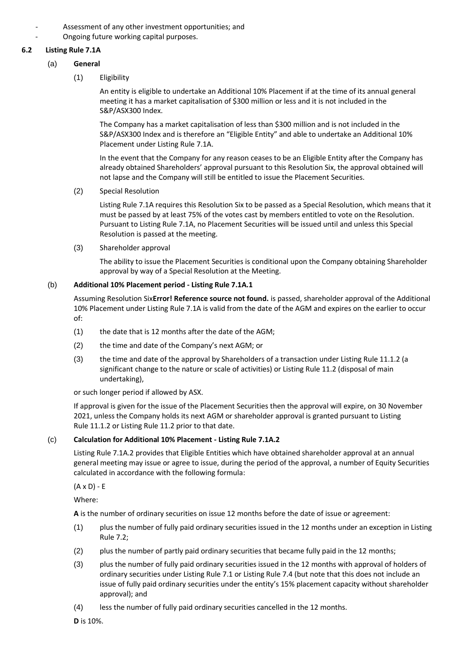- Assessment of any other investment opportunities; and
- Ongoing future working capital purposes.

#### **6.2 Listing Rule 7.1A**

- (a) **General**
	- (1) Eligibility

An entity is eligible to undertake an Additional 10% Placement if at the time of its annual general meeting it has a market capitalisation of \$300 million or less and it is not included in the S&P/ASX300 Index.

The Company has a market capitalisation of less than \$300 million and is not included in the S&P/ASX300 Index and is therefore an "Eligible Entity" and able to undertake an Additional 10% Placement under Listing Rule 7.1A.

In the event that the Company for any reason ceases to be an Eligible Entity after the Company has already obtained Shareholders' approval pursuant to this Resolution Six, the approval obtained will not lapse and the Company will still be entitled to issue the Placement Securities.

(2) Special Resolution

Listing Rule 7.1A requires this Resolution Six to be passed as a Special Resolution, which means that it must be passed by at least 75% of the votes cast by members entitled to vote on the Resolution. Pursuant to Listing Rule 7.1A, no Placement Securities will be issued until and unless this Special Resolution is passed at the meeting.

(3) Shareholder approval

The ability to issue the Placement Securities is conditional upon the Company obtaining Shareholder approval by way of a Special Resolution at the Meeting.

#### (b) **Additional 10% Placement period - Listing Rule 7.1A.1**

Assuming Resolution Six**Error! Reference source not found.** is passed, shareholder approval of the Additional 10% Placement under Listing Rule 7.1A is valid from the date of the AGM and expires on the earlier to occur of:

- (1) the date that is 12 months after the date of the AGM;
- (2) the time and date of the Company's next AGM; or
- (3) the time and date of the approval by Shareholders of a transaction under Listing Rule 11.1.2 (a significant change to the nature or scale of activities) or Listing Rule 11.2 (disposal of main undertaking),

or such longer period if allowed by ASX.

If approval is given for the issue of the Placement Securities then the approval will expire, on 30 November 2021, unless the Company holds its next AGM or shareholder approval is granted pursuant to Listing Rule 11.1.2 or Listing Rule 11.2 prior to that date.

## (c) **Calculation for Additional 10% Placement - Listing Rule 7.1A.2**

Listing Rule 7.1A.2 provides that Eligible Entities which have obtained shareholder approval at an annual general meeting may issue or agree to issue, during the period of the approval, a number of Equity Securities calculated in accordance with the following formula:

 $(A \times D) - E$ 

Where:

**A** is the number of ordinary securities on issue 12 months before the date of issue or agreement:

- (1) plus the number of fully paid ordinary securities issued in the 12 months under an exception in Listing Rule 7.2;
- (2) plus the number of partly paid ordinary securities that became fully paid in the 12 months;
- (3) plus the number of fully paid ordinary securities issued in the 12 months with approval of holders of ordinary securities under Listing Rule 7.1 or Listing Rule 7.4 (but note that this does not include an issue of fully paid ordinary securities under the entity's 15% placement capacity without shareholder approval); and
- (4) less the number of fully paid ordinary securities cancelled in the 12 months.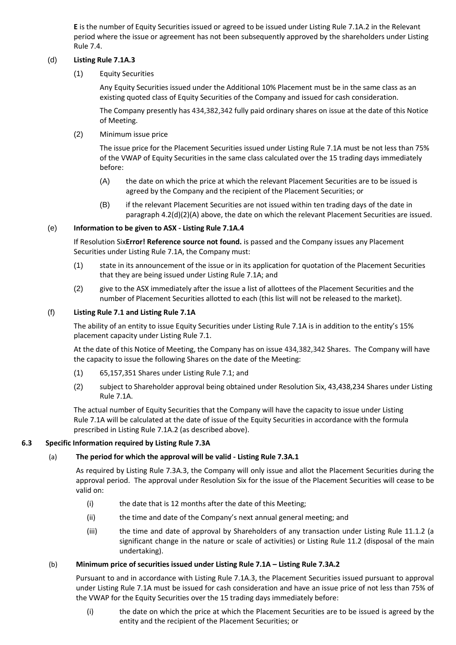**E** is the number of Equity Securities issued or agreed to be issued under Listing Rule 7.1A.2 in the Relevant period where the issue or agreement has not been subsequently approved by the shareholders under Listing Rule 7.4.

#### (d) **Listing Rule 7.1A.3**

(1) Equity Securities

Any Equity Securities issued under the Additional 10% Placement must be in the same class as an existing quoted class of Equity Securities of the Company and issued for cash consideration.

The Company presently has 434,382,342 fully paid ordinary shares on issue at the date of this Notice of Meeting.

(2) Minimum issue price

The issue price for the Placement Securities issued under Listing Rule 7.1A must be not less than 75% of the VWAP of Equity Securities in the same class calculated over the 15 trading days immediately before:

- (A) the date on which the price at which the relevant Placement Securities are to be issued is agreed by the Company and the recipient of the Placement Securities; or
- (B) if the relevant Placement Securities are not issued within ten trading days of the date in paragraph 4.2(d)(2)(A) above, the date on which the relevant Placement Securities are issued.

## (e) **Information to be given to ASX - Listing Rule 7.1A.4**

If Resolution Six**Error! Reference source not found.** is passed and the Company issues any Placement Securities under Listing Rule 7.1A, the Company must:

- (1) state in its announcement of the issue or in its application for quotation of the Placement Securities that they are being issued under Listing Rule 7.1A; and
- (2) give to the ASX immediately after the issue a list of allottees of the Placement Securities and the number of Placement Securities allotted to each (this list will not be released to the market).

#### (f) **Listing Rule 7.1 and Listing Rule 7.1A**

The ability of an entity to issue Equity Securities under Listing Rule 7.1A is in addition to the entity's 15% placement capacity under Listing Rule 7.1.

At the date of this Notice of Meeting, the Company has on issue 434,382,342 Shares. The Company will have the capacity to issue the following Shares on the date of the Meeting:

- (1) 65,157,351 Shares under Listing Rule 7.1; and
- (2) subject to Shareholder approval being obtained under Resolution Six, 43,438,234 Shares under Listing Rule 7.1A.

The actual number of Equity Securities that the Company will have the capacity to issue under Listing Rule 7.1A will be calculated at the date of issue of the Equity Securities in accordance with the formula prescribed in Listing Rule 7.1A.2 (as described above).

#### **6.3 Specific Information required by Listing Rule 7.3A**

## (a) **The period for which the approval will be valid - Listing Rule 7.3A.1**

As required by Listing Rule 7.3A.3, the Company will only issue and allot the Placement Securities during the approval period. The approval under Resolution Six for the issue of the Placement Securities will cease to be valid on:

- (i) the date that is 12 months after the date of this Meeting;
- (ii) the time and date of the Company's next annual general meeting; and
- (iii) the time and date of approval by Shareholders of any transaction under Listing Rule 11.1.2 (a significant change in the nature or scale of activities) or Listing Rule 11.2 (disposal of the main undertaking).

#### (b) **Minimum price of securities issued under Listing Rule 7.1A – Listing Rule 7.3A.2**

Pursuant to and in accordance with Listing Rule 7.1A.3, the Placement Securities issued pursuant to approval under Listing Rule 7.1A must be issued for cash consideration and have an issue price of not less than 75% of the VWAP for the Equity Securities over the 15 trading days immediately before:

(i) the date on which the price at which the Placement Securities are to be issued is agreed by the entity and the recipient of the Placement Securities; or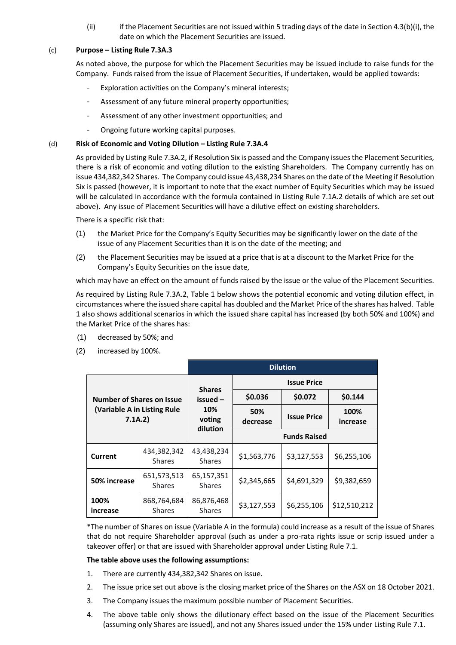(ii) if the Placement Securities are not issued within 5 trading days of the date in Section 4.3(b)(i), the date on which the Placement Securities are issued.

#### (c) **Purpose – Listing Rule 7.3A.3**

As noted above, the purpose for which the Placement Securities may be issued include to raise funds for the Company. Funds raised from the issue of Placement Securities, if undertaken, would be applied towards:

- Exploration activities on the Company's mineral interests;
- Assessment of any future mineral property opportunities;
- Assessment of any other investment opportunities; and
- Ongoing future working capital purposes.

#### (d) **Risk of Economic and Voting Dilution – Listing Rule 7.3A.4**

As provided by Listing Rule 7.3A.2, if Resolution Six is passed and the Company issues the Placement Securities, there is a risk of economic and voting dilution to the existing Shareholders. The Company currently has on issue 434,382,342 Shares. The Company could issue 43,438,234 Shares on the date of the Meeting if Resolution Six is passed (however, it is important to note that the exact number of Equity Securities which may be issued will be calculated in accordance with the formula contained in Listing Rule 7.1A.2 details of which are set out above). Any issue of Placement Securities will have a dilutive effect on existing shareholders.

There is a specific risk that:

- (1) the Market Price for the Company's Equity Securities may be significantly lower on the date of the issue of any Placement Securities than it is on the date of the meeting; and
- (2) the Placement Securities may be issued at a price that is at a discount to the Market Price for the Company's Equity Securities on the issue date,

which may have an effect on the amount of funds raised by the issue or the value of the Placement Securities.

As required by Listing Rule 7.3A.2, Table 1 below shows the potential economic and voting dilution effect, in circumstances where the issued share capital has doubled and the Market Price of the shares has halved. Table 1 also shows additional scenarios in which the issued share capital has increased (by both 50% and 100%) and the Market Price of the shares has:

- (1) decreased by 50%; and
- (2) increased by 100%.

|                                                                            |                              | <b>Dilution</b>              |                     |                    |                  |
|----------------------------------------------------------------------------|------------------------------|------------------------------|---------------------|--------------------|------------------|
| <b>Number of Shares on Issue</b><br>(Variable A in Listing Rule<br>7.1A.2) |                              | <b>Shares</b>                | <b>Issue Price</b>  |                    |                  |
|                                                                            |                              | $is sued -$<br>10%<br>voting | \$0.036             | \$0.072            | \$0.144          |
|                                                                            |                              |                              | 50%<br>decrease     | <b>Issue Price</b> | 100%<br>increase |
|                                                                            |                              | dilution                     | <b>Funds Raised</b> |                    |                  |
| Current                                                                    | 434,382,342<br><b>Shares</b> | 43,438,234<br><b>Shares</b>  | \$1,563,776         | \$3,127,553        | \$6,255,106      |
| 50% increase                                                               | 651,573,513<br><b>Shares</b> | 65,157,351<br><b>Shares</b>  | \$2,345,665         | \$4,691,329        | \$9,382,659      |
| 100%<br>increase                                                           | 868,764,684<br><b>Shares</b> | 86,876,468<br><b>Shares</b>  | \$3,127,553         | \$6,255,106        | \$12,510,212     |

\*The number of Shares on issue (Variable A in the formula) could increase as a result of the issue of Shares that do not require Shareholder approval (such as under a pro-rata rights issue or scrip issued under a takeover offer) or that are issued with Shareholder approval under Listing Rule 7.1.

#### **The table above uses the following assumptions:**

- 1. There are currently 434,382,342 Shares on issue.
- 2. The issue price set out above is the closing market price of the Shares on the ASX on 18 October 2021.
- 3. The Company issues the maximum possible number of Placement Securities.
- 4. The above table only shows the dilutionary effect based on the issue of the Placement Securities (assuming only Shares are issued), and not any Shares issued under the 15% under Listing Rule 7.1.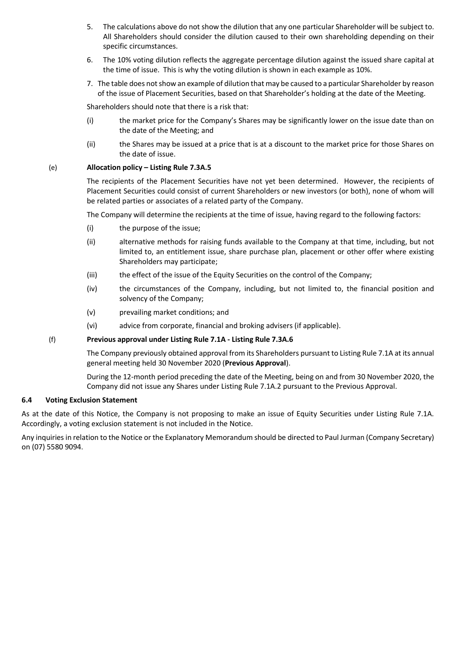- 5. The calculations above do not show the dilution that any one particular Shareholder will be subject to. All Shareholders should consider the dilution caused to their own shareholding depending on their specific circumstances.
- 6. The 10% voting dilution reflects the aggregate percentage dilution against the issued share capital at the time of issue. This is why the voting dilution is shown in each example as 10%.
- 7. The table does not show an example of dilution that may be caused to a particular Shareholder by reason of the issue of Placement Securities, based on that Shareholder's holding at the date of the Meeting.

Shareholders should note that there is a risk that:

- (i) the market price for the Company's Shares may be significantly lower on the issue date than on the date of the Meeting; and
- (ii) the Shares may be issued at a price that is at a discount to the market price for those Shares on the date of issue.

#### (e) **Allocation policy – Listing Rule 7.3A.5**

The recipients of the Placement Securities have not yet been determined. However, the recipients of Placement Securities could consist of current Shareholders or new investors (or both), none of whom will be related parties or associates of a related party of the Company.

The Company will determine the recipients at the time of issue, having regard to the following factors:

- (i) the purpose of the issue;
- (ii) alternative methods for raising funds available to the Company at that time, including, but not limited to, an entitlement issue, share purchase plan, placement or other offer where existing Shareholders may participate;
- (iii) the effect of the issue of the Equity Securities on the control of the Company;
- (iv) the circumstances of the Company, including, but not limited to, the financial position and solvency of the Company;
- (v) prevailing market conditions; and
- (vi) advice from corporate, financial and broking advisers (if applicable).

#### (f) **Previous approval under Listing Rule 7.1A - Listing Rule 7.3A.6**

The Company previously obtained approval from its Shareholders pursuant to Listing Rule 7.1A at its annual general meeting held 30 November 2020 (**Previous Approval**).

During the 12-month period preceding the date of the Meeting, being on and from 30 November 2020, the Company did not issue any Shares under Listing Rule 7.1A.2 pursuant to the Previous Approval.

#### **6.4 Voting Exclusion Statement**

As at the date of this Notice, the Company is not proposing to make an issue of Equity Securities under Listing Rule 7.1A. Accordingly, a voting exclusion statement is not included in the Notice.

Any inquiries in relation to the Notice or the Explanatory Memorandum should be directed to Paul Jurman (Company Secretary) on (07) 5580 9094.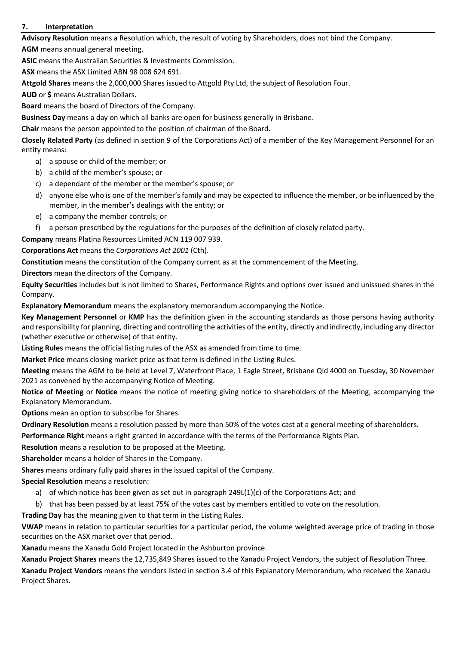## <span id="page-17-0"></span>**7. Interpretation**

**Advisory Resolution** means a Resolution which, the result of voting by Shareholders, does not bind the Company. **AGM** means annual general meeting.

**ASIC** means the Australian Securities & Investments Commission.

**ASX** means the ASX Limited ABN 98 008 624 691.

**Attgold Shares** means the 2,000,000 Shares issued to Attgold Pty Ltd, the subject of Resolution Four.

**AUD** or **\$** means Australian Dollars.

**Board** means the board of Directors of the Company.

**Business Day** means a day on which all banks are open for business generally in Brisbane.

**Chair** means the person appointed to the position of chairman of the Board.

**Closely Related Party** (as defined in section 9 of the Corporations Act) of a member of the Key Management Personnel for an entity means:

- a) a spouse or child of the member; or
- b) a child of the member's spouse; or
- c) a dependant of the member or the member's spouse; or
- d) anyone else who is one of the member's family and may be expected to influence the member, or be influenced by the member, in the member's dealings with the entity; or
- e) a company the member controls; or
- f) a person prescribed by the regulations for the purposes of the definition of closely related party.

**Company** means Platina Resources Limited ACN 119 007 939.

**Corporations Act** means the *Corporations Act 2001* (Cth).

**Constitution** means the constitution of the Company current as at the commencement of the Meeting.

**Directors** mean the directors of the Company.

**Equity Securities** includes but is not limited to Shares, Performance Rights and options over issued and unissued shares in the Company.

**Explanatory Memorandum** means the explanatory memorandum accompanying the Notice.

**Key Management Personnel** or **KMP** has the definition given in the accounting standards as those persons having authority and responsibility for planning, directing and controlling the activities of the entity, directly and indirectly, including any director (whether executive or otherwise) of that entity.

**Listing Rules** means the official listing rules of the ASX as amended from time to time.

**Market Price** means closing market price as that term is defined in the Listing Rules.

**Meeting** means the AGM to be held at Level 7, Waterfront Place, 1 Eagle Street, Brisbane Qld 4000 on Tuesday, 30 November 2021 as convened by the accompanying Notice of Meeting.

**Notice of Meeting** or **Notice** means the notice of meeting giving notice to shareholders of the Meeting, accompanying the Explanatory Memorandum.

**Options** mean an option to subscribe for Shares.

**Ordinary Resolution** means a resolution passed by more than 50% of the votes cast at a general meeting of shareholders.

**Performance Right** means a right granted in accordance with the terms of the Performance Rights Plan.

**Resolution** means a resolution to be proposed at the Meeting.

**Shareholder** means a holder of Shares in the Company.

**Shares** means ordinary fully paid shares in the issued capital of the Company.

**Special Resolution** means a resolution:

- a) of which notice has been given as set out in paragraph 249L(1)(c) of the Corporations Act; and
- b) that has been passed by at least 75% of the votes cast by members entitled to vote on the resolution.

**Trading Day** has the meaning given to that term in the Listing Rules.

**VWAP** means in relation to particular securities for a particular period, the volume weighted average price of trading in those securities on the ASX market over that period.

**Xanadu** means the Xanadu Gold Project located in the Ashburton province.

**Xanadu Project Shares** means the 12,735,849 Shares issued to the Xanadu Project Vendors, the subject of Resolution Three.

**Xanadu Project Vendors** means the vendors listed in sectio[n 3.4](#page-9-1) of this Explanatory Memorandum, who received the Xanadu Project Shares.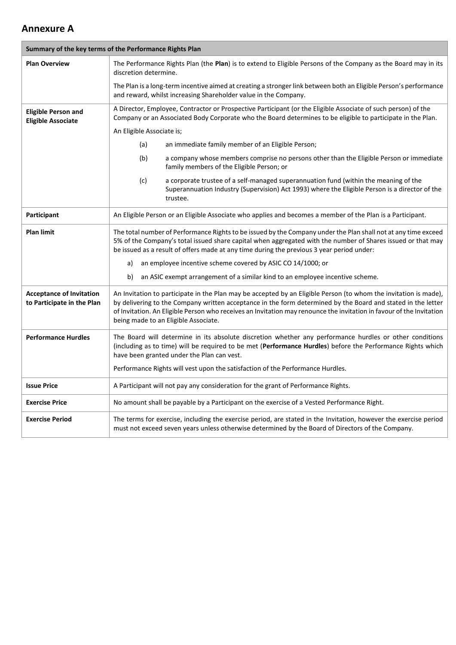## **Annexure A**

| Summary of the key terms of the Performance Rights Plan       |                                                                                                                                                                                                                                                                                                                                                                                                  |  |
|---------------------------------------------------------------|--------------------------------------------------------------------------------------------------------------------------------------------------------------------------------------------------------------------------------------------------------------------------------------------------------------------------------------------------------------------------------------------------|--|
| <b>Plan Overview</b>                                          | The Performance Rights Plan (the Plan) is to extend to Eligible Persons of the Company as the Board may in its<br>discretion determine.                                                                                                                                                                                                                                                          |  |
|                                                               | The Plan is a long-term incentive aimed at creating a stronger link between both an Eligible Person's performance<br>and reward, whilst increasing Shareholder value in the Company.                                                                                                                                                                                                             |  |
| <b>Eligible Person and</b><br><b>Eligible Associate</b>       | A Director, Employee, Contractor or Prospective Participant (or the Eligible Associate of such person) of the<br>Company or an Associated Body Corporate who the Board determines to be eligible to participate in the Plan.                                                                                                                                                                     |  |
|                                                               | An Eligible Associate is;                                                                                                                                                                                                                                                                                                                                                                        |  |
|                                                               | (a)<br>an immediate family member of an Eligible Person;                                                                                                                                                                                                                                                                                                                                         |  |
|                                                               | (b)<br>a company whose members comprise no persons other than the Eligible Person or immediate<br>family members of the Eligible Person; or                                                                                                                                                                                                                                                      |  |
|                                                               | (c)<br>a corporate trustee of a self-managed superannuation fund (within the meaning of the<br>Superannuation Industry (Supervision) Act 1993) where the Eligible Person is a director of the<br>trustee.                                                                                                                                                                                        |  |
| Participant                                                   | An Eligible Person or an Eligible Associate who applies and becomes a member of the Plan is a Participant.                                                                                                                                                                                                                                                                                       |  |
| <b>Plan limit</b>                                             | The total number of Performance Rights to be issued by the Company under the Plan shall not at any time exceed<br>5% of the Company's total issued share capital when aggregated with the number of Shares issued or that may<br>be issued as a result of offers made at any time during the previous 3 year period under:                                                                       |  |
|                                                               | an employee incentive scheme covered by ASIC CO 14/1000; or<br>a)                                                                                                                                                                                                                                                                                                                                |  |
|                                                               | an ASIC exempt arrangement of a similar kind to an employee incentive scheme.<br>b)                                                                                                                                                                                                                                                                                                              |  |
| <b>Acceptance of Invitation</b><br>to Participate in the Plan | An Invitation to participate in the Plan may be accepted by an Eligible Person (to whom the invitation is made),<br>by delivering to the Company written acceptance in the form determined by the Board and stated in the letter<br>of Invitation. An Eligible Person who receives an Invitation may renounce the invitation in favour of the Invitation<br>being made to an Eligible Associate. |  |
| <b>Performance Hurdles</b>                                    | The Board will determine in its absolute discretion whether any performance hurdles or other conditions<br>(including as to time) will be required to be met (Performance Hurdles) before the Performance Rights which<br>have been granted under the Plan can vest.                                                                                                                             |  |
|                                                               | Performance Rights will vest upon the satisfaction of the Performance Hurdles.                                                                                                                                                                                                                                                                                                                   |  |
| <b>Issue Price</b>                                            | A Participant will not pay any consideration for the grant of Performance Rights.                                                                                                                                                                                                                                                                                                                |  |
| <b>Exercise Price</b>                                         | No amount shall be payable by a Participant on the exercise of a Vested Performance Right.                                                                                                                                                                                                                                                                                                       |  |
| <b>Exercise Period</b>                                        | The terms for exercise, including the exercise period, are stated in the Invitation, however the exercise period<br>must not exceed seven years unless otherwise determined by the Board of Directors of the Company.                                                                                                                                                                            |  |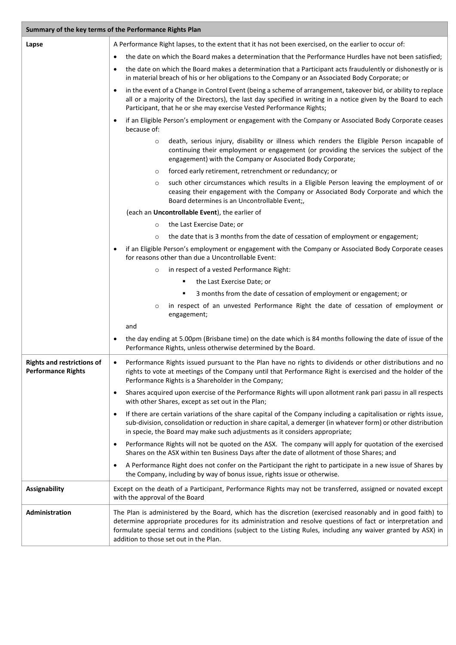| Summary of the key terms of the Performance Rights Plan        |                                                                                                                                                                                                                                                                                                                                                                                       |  |  |
|----------------------------------------------------------------|---------------------------------------------------------------------------------------------------------------------------------------------------------------------------------------------------------------------------------------------------------------------------------------------------------------------------------------------------------------------------------------|--|--|
| Lapse                                                          | A Performance Right lapses, to the extent that it has not been exercised, on the earlier to occur of:                                                                                                                                                                                                                                                                                 |  |  |
|                                                                | the date on which the Board makes a determination that the Performance Hurdles have not been satisfied;<br>$\bullet$                                                                                                                                                                                                                                                                  |  |  |
|                                                                | the date on which the Board makes a determination that a Participant acts fraudulently or dishonestly or is<br>$\bullet$<br>in material breach of his or her obligations to the Company or an Associated Body Corporate; or                                                                                                                                                           |  |  |
|                                                                | in the event of a Change in Control Event (being a scheme of arrangement, takeover bid, or ability to replace<br>$\bullet$<br>all or a majority of the Directors), the last day specified in writing in a notice given by the Board to each<br>Participant, that he or she may exercise Vested Performance Rights;                                                                    |  |  |
|                                                                | if an Eligible Person's employment or engagement with the Company or Associated Body Corporate ceases<br>$\bullet$<br>because of:                                                                                                                                                                                                                                                     |  |  |
|                                                                | death, serious injury, disability or illness which renders the Eligible Person incapable of<br>$\circ$<br>continuing their employment or engagement (or providing the services the subject of the<br>engagement) with the Company or Associated Body Corporate;                                                                                                                       |  |  |
|                                                                | forced early retirement, retrenchment or redundancy; or<br>$\circ$                                                                                                                                                                                                                                                                                                                    |  |  |
|                                                                | such other circumstances which results in a Eligible Person leaving the employment of or<br>$\circ$<br>ceasing their engagement with the Company or Associated Body Corporate and which the<br>Board determines is an Uncontrollable Event;,                                                                                                                                          |  |  |
|                                                                | (each an Uncontrollable Event), the earlier of                                                                                                                                                                                                                                                                                                                                        |  |  |
|                                                                | the Last Exercise Date; or<br>$\circ$                                                                                                                                                                                                                                                                                                                                                 |  |  |
|                                                                | the date that is 3 months from the date of cessation of employment or engagement;<br>$\circ$                                                                                                                                                                                                                                                                                          |  |  |
|                                                                | if an Eligible Person's employment or engagement with the Company or Associated Body Corporate ceases<br>$\bullet$<br>for reasons other than due a Uncontrollable Event:                                                                                                                                                                                                              |  |  |
|                                                                | in respect of a vested Performance Right:<br>$\circ$                                                                                                                                                                                                                                                                                                                                  |  |  |
|                                                                | the Last Exercise Date; or                                                                                                                                                                                                                                                                                                                                                            |  |  |
|                                                                | 3 months from the date of cessation of employment or engagement; or                                                                                                                                                                                                                                                                                                                   |  |  |
|                                                                | in respect of an unvested Performance Right the date of cessation of employment or<br>$\circ$<br>engagement;                                                                                                                                                                                                                                                                          |  |  |
|                                                                | and                                                                                                                                                                                                                                                                                                                                                                                   |  |  |
|                                                                | the day ending at 5.00pm (Brisbane time) on the date which is 84 months following the date of issue of the<br>٠<br>Performance Rights, unless otherwise determined by the Board.                                                                                                                                                                                                      |  |  |
| <b>Rights and restrictions of</b><br><b>Performance Rights</b> | Performance Rights issued pursuant to the Plan have no rights to dividends or other distributions and no<br>$\bullet$<br>rights to vote at meetings of the Company until that Performance Right is exercised and the holder of the<br>Performance Rights is a Shareholder in the Company;                                                                                             |  |  |
|                                                                | Shares acquired upon exercise of the Performance Rights will upon allotment rank pari passu in all respects<br>$\bullet$<br>with other Shares, except as set out in the Plan;                                                                                                                                                                                                         |  |  |
|                                                                | If there are certain variations of the share capital of the Company including a capitalisation or rights issue,<br>$\bullet$<br>sub-division, consolidation or reduction in share capital, a demerger (in whatever form) or other distribution<br>in specie, the Board may make such adjustments as it considers appropriate;                                                         |  |  |
|                                                                | Performance Rights will not be quoted on the ASX. The company will apply for quotation of the exercised<br>$\bullet$<br>Shares on the ASX within ten Business Days after the date of allotment of those Shares; and                                                                                                                                                                   |  |  |
|                                                                | A Performance Right does not confer on the Participant the right to participate in a new issue of Shares by<br>$\bullet$<br>the Company, including by way of bonus issue, rights issue or otherwise.                                                                                                                                                                                  |  |  |
| <b>Assignability</b>                                           | Except on the death of a Participant, Performance Rights may not be transferred, assigned or novated except<br>with the approval of the Board                                                                                                                                                                                                                                         |  |  |
| Administration                                                 | The Plan is administered by the Board, which has the discretion (exercised reasonably and in good faith) to<br>determine appropriate procedures for its administration and resolve questions of fact or interpretation and<br>formulate special terms and conditions (subject to the Listing Rules, including any waiver granted by ASX) in<br>addition to those set out in the Plan. |  |  |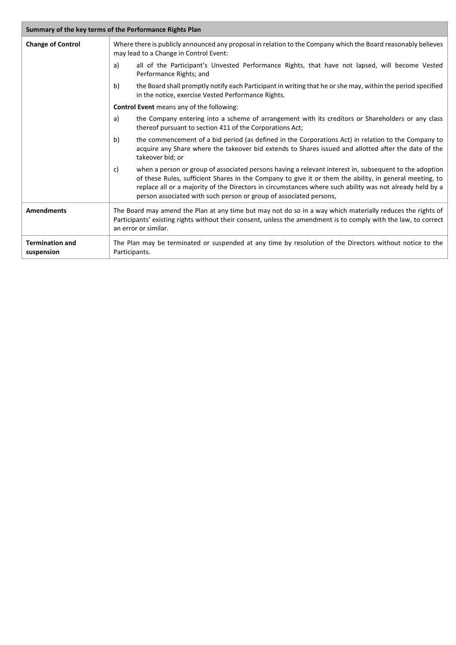| Summary of the key terms of the Performance Rights Plan |                                                                                                                                                                                                                                                                                                                                                                                                           |  |
|---------------------------------------------------------|-----------------------------------------------------------------------------------------------------------------------------------------------------------------------------------------------------------------------------------------------------------------------------------------------------------------------------------------------------------------------------------------------------------|--|
| <b>Change of Control</b>                                | Where there is publicly announced any proposal in relation to the Company which the Board reasonably believes<br>may lead to a Change in Control Event:                                                                                                                                                                                                                                                   |  |
|                                                         | all of the Participant's Unvested Performance Rights, that have not lapsed, will become Vested<br>a)<br>Performance Rights; and                                                                                                                                                                                                                                                                           |  |
|                                                         | the Board shall promptly notify each Participant in writing that he or she may, within the period specified<br>b)<br>in the notice, exercise Vested Performance Rights.                                                                                                                                                                                                                                   |  |
|                                                         | <b>Control Event</b> means any of the following:                                                                                                                                                                                                                                                                                                                                                          |  |
|                                                         | the Company entering into a scheme of arrangement with its creditors or Shareholders or any class<br>a)<br>thereof pursuant to section 411 of the Corporations Act;                                                                                                                                                                                                                                       |  |
|                                                         | the commencement of a bid period (as defined in the Corporations Act) in relation to the Company to<br>b)<br>acquire any Share where the takeover bid extends to Shares issued and allotted after the date of the<br>takeover bid; or                                                                                                                                                                     |  |
|                                                         | when a person or group of associated persons having a relevant interest in, subsequent to the adoption<br>C)<br>of these Rules, sufficient Shares in the Company to give it or them the ability, in general meeting, to<br>replace all or a majority of the Directors in circumstances where such ability was not already held by a<br>person associated with such person or group of associated persons, |  |
| <b>Amendments</b>                                       | The Board may amend the Plan at any time but may not do so in a way which materially reduces the rights of<br>Participants' existing rights without their consent, unless the amendment is to comply with the law, to correct<br>an error or similar.                                                                                                                                                     |  |
| <b>Termination and</b><br>suspension                    | The Plan may be terminated or suspended at any time by resolution of the Directors without notice to the<br>Participants.                                                                                                                                                                                                                                                                                 |  |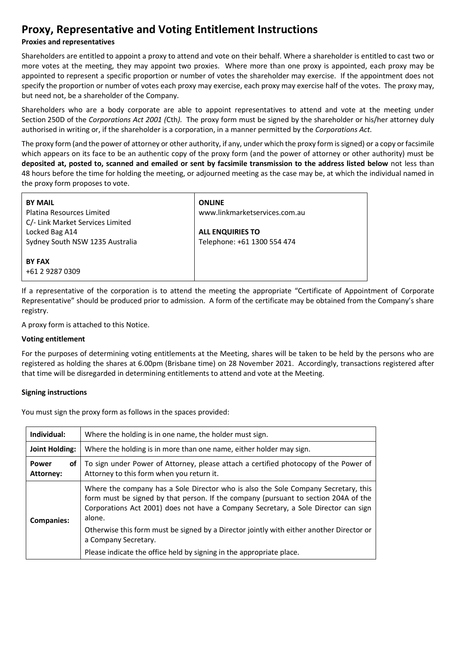## **Proxy, Representative and Voting Entitlement Instructions**

## **Proxies and representatives**

Shareholders are entitled to appoint a proxy to attend and vote on their behalf. Where a shareholder is entitled to cast two or more votes at the meeting, they may appoint two proxies. Where more than one proxy is appointed, each proxy may be appointed to represent a specific proportion or number of votes the shareholder may exercise. If the appointment does not specify the proportion or number of votes each proxy may exercise, each proxy may exercise half of the votes. The proxy may, but need not, be a shareholder of the Company.

Shareholders who are a body corporate are able to appoint representatives to attend and vote at the meeting under Section 250D of the *Corporations Act 2001 (*Cth*).* The proxy form must be signed by the shareholder or his/her attorney duly authorised in writing or, if the shareholder is a corporation, in a manner permitted by the *Corporations Act.*

The proxy form (and the power of attorney or other authority, if any, under which the proxy form is signed) or a copy or facsimile which appears on its face to be an authentic copy of the proxy form (and the power of attorney or other authority) must be **deposited at, posted to, scanned and emailed or sent by facsimile transmission to the address listed below** not less than 48 hours before the time for holding the meeting, or adjourned meeting as the case may be, at which the individual named in the proxy form proposes to vote.

| <b>BY MAIL</b><br>Platina Resources Limited<br>C/- Link Market Services Limited | <b>ONLINE</b><br>www.linkmarketservices.com.au         |
|---------------------------------------------------------------------------------|--------------------------------------------------------|
| Locked Bag A14<br>Sydney South NSW 1235 Australia                               | <b>ALL ENQUIRIES TO</b><br>Telephone: +61 1300 554 474 |
| <b>BY FAX</b><br>+61 2 9287 0309                                                |                                                        |

If a representative of the corporation is to attend the meeting the appropriate "Certificate of Appointment of Corporate Representative" should be produced prior to admission. A form of the certificate may be obtained from the Company's share registry.

A proxy form is attached to this Notice.

#### **Voting entitlement**

For the purposes of determining voting entitlements at the Meeting, shares will be taken to be held by the persons who are registered as holding the shares at 6.00pm (Brisbane time) on 28 November 2021. Accordingly, transactions registered after that time will be disregarded in determining entitlements to attend and vote at the Meeting.

#### **Signing instructions**

You must sign the proxy form as follows in the spaces provided:

| Individual:                     | Where the holding is in one name, the holder must sign.                                                                                                                                                                                                                   |  |
|---------------------------------|---------------------------------------------------------------------------------------------------------------------------------------------------------------------------------------------------------------------------------------------------------------------------|--|
| Joint Holding:                  | Where the holding is in more than one name, either holder may sign.                                                                                                                                                                                                       |  |
| <b>Power</b><br>οf<br>Attorney: | To sign under Power of Attorney, please attach a certified photocopy of the Power of<br>Attorney to this form when you return it.                                                                                                                                         |  |
| <b>Companies:</b>               | Where the company has a Sole Director who is also the Sole Company Secretary, this<br>form must be signed by that person. If the company (pursuant to section 204A of the<br>Corporations Act 2001) does not have a Company Secretary, a Sole Director can sign<br>alone. |  |
|                                 | Otherwise this form must be signed by a Director jointly with either another Director or<br>a Company Secretary.                                                                                                                                                          |  |
|                                 | Please indicate the office held by signing in the appropriate place.                                                                                                                                                                                                      |  |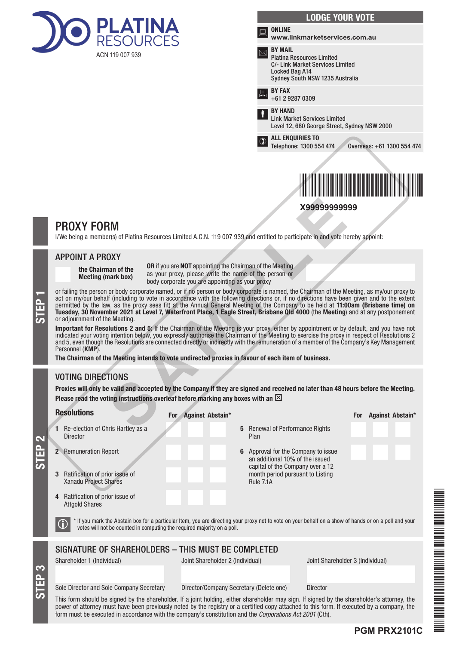

| <b>LODGE YOUR VOTE</b>                                                                                                                             |
|----------------------------------------------------------------------------------------------------------------------------------------------------|
| <b>ONLINE</b><br>www.linkmarketservices.com.au                                                                                                     |
| <b>BY MAIL</b><br><b>Platina Resources Limited</b><br><b>C/- Link Market Services Limited</b><br>Locked Bag A14<br>Sydney South NSW 1235 Australia |
| <b>BY FAX</b><br>+61 2 9287 0309                                                                                                                   |
| <b>BY HAND</b><br><b>Link Market Services Limited</b><br>Level 12, 680 George Street, Sydney NSW 2000                                              |
| <b>ALL ENQUIRIES TO</b><br>Telephone: 1300 554 474<br>Overseas: +61 1300 554 474                                                                   |
| X99999999999                                                                                                                                       |
|                                                                                                                                                    |

## PROXY FORM

I/We being a member(s) of Platina Resources Limited A.C.N. 119 007 939 and entitled to participate in and vote hereby appoint:

#### APPOINT A PROXY

the Chairman of the Meeting (mark box)

OR if you are NOT appointing the Chairman of the Meeting as your proxy, please write the name of the person or body corporate you are appointing as your proxy

or failing the person or body corporate named, or if no person or body corporate is named, the Chairman of the Meeting, as my/our proxy to act on my/our behalf (including to vote in accordance with the following directions act on my/our behalf (including to vote in accordance with the following directions or, if no directions have been given and to the extent permitted by the law, as the proxy sees fit) at the Annual General Meeting of the Company to be held at 11:00am (Brisbane time) on Tuesday, 30 November 2021 at Level 7, Waterfront Place, 1 Eagle Street, Brisbane Qld 4000 (the Meeting) and at any postponement or adjournment of the Meeting. **X9999999999**<br> **SAMPLE ACTIVE CONTROV**<br> **SAMPLE ACTIVE ACT**<br>
ONCE THE ACT ACT AND THE ACT AND THE ACT AND THE ACT AND AND A DONEY<br>
The and of the OR if you are NOT appointing the Chairman of the Meeting<br>
hody corporate po

Important for Resolutions 2 and 5: If the Chairman of the Meeting is your proxy, either by appointment or by default, and you have not indicated your voting intention below, you expressly authorise the Chairman of the Meeting to exercise the proxy in respect of Resolutions 2 and 5, even though the Resolutions are connected directly or indirectly with the remuneration of a member of the Company's Key Management Personnel (KMP).

The Chairman of the Meeting intends to vote undirected proxies in favour of each item of business.

## VOTING DIRECTIONS

Proxies will only be valid and accepted by the Company if they are signed and received no later than 48 hours before the Meeting. Please read the voting instructions overleaf before marking any boxes with an  $\boxtimes$ 

Resolutions

S<br>EP 3

STEP 2

Director

1 Re-election of Chris Hartley as a

- 2 Remuneration Report 6 Approval for the Company to issue
- 3 Ratification of prior issue of Xanadu Project Shares
- 4 Ratification of prior issue of Attgold Shares

5 Renewal of Performance Rights Plan

> an additional 10% of the issued capital of the Company over a 12 month period pursuant to Listing Rule 7.1A



THE REPORT OF A REAL PROPERTY OF A REAL PROPERTY. For the particular continues and the particular continues are the continues of the continues of the continues of the continues of the continues of the continues of the continues of the continues of the continues of the con

Sole Director and Sole Company Secretary Director/Company Secretary (Delete one) Director

 $\bigcirc$   $^*$  If you mark the Abstain box for a particular Item, you are directing your proxy not to vote on your behalf on a show of hands or on a poll and your votes will not be counted in computing the required majority o

Shareholder 1 (Individual) Joint Shareholder 2 (Individual) Joint Shareholder 3 (Individual)

SIGNATURE OF SHAREHOLDERS – THIS MUST BE COMPLETED

This form should be signed by the shareholder. If a joint holding, either shareholder may sign. If signed by the shareholder's attorney, the power of attorney must have been previously noted by the registry or a certified copy attached to this form. If executed by a company, the form must be executed in accordance with the company's constitution and the *Corporations Act 2001* (Cth).

## **PGM PRX2101C**